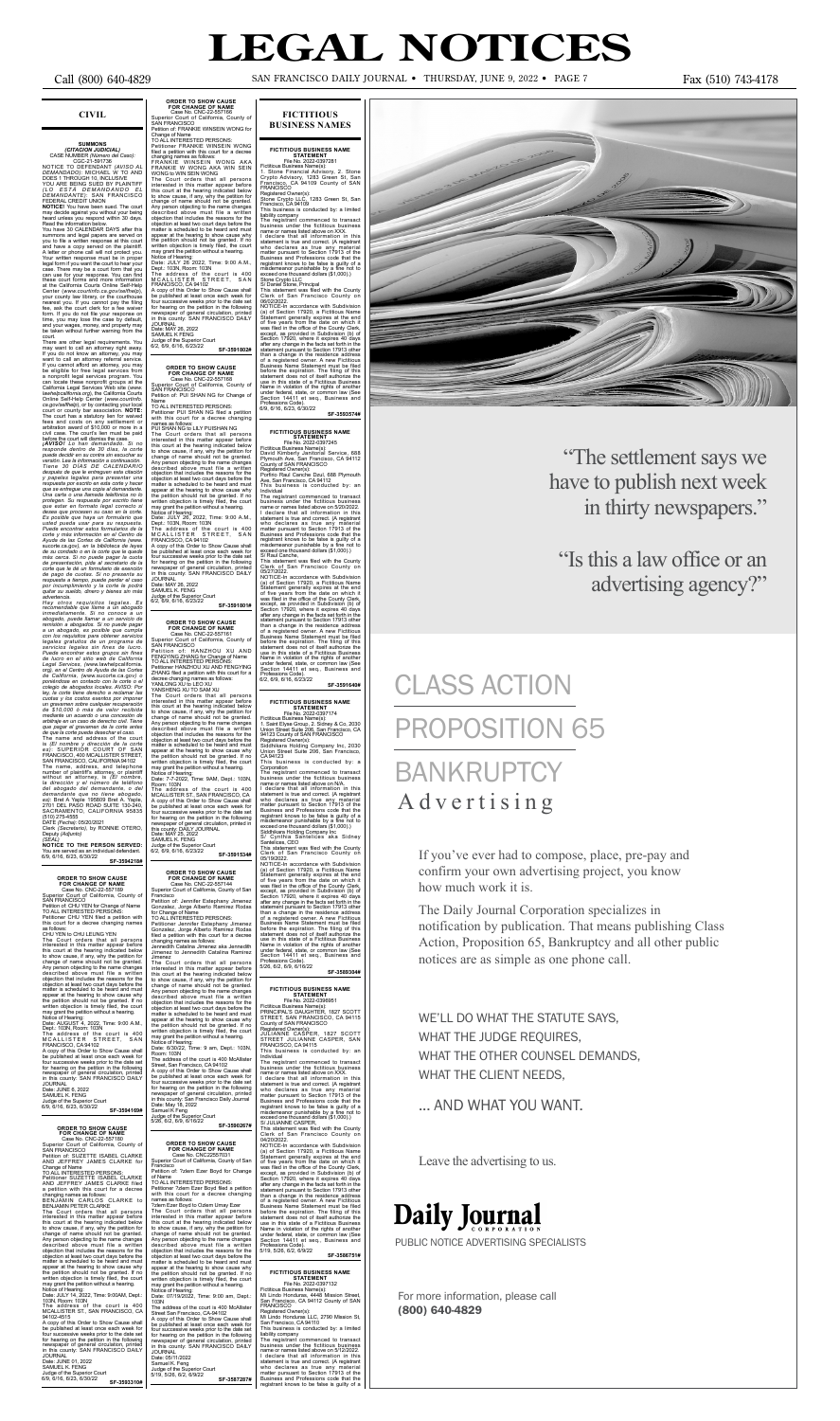### **CIVIL**

**SUMMONS**<br> **CASE NUMBER** *(Número del Caso):***<br>
CGC-21-591736<br>
NOTICE TO DEFENDANT** *(AVISO AL<br>
DEMANDAD D): MICHAEL W TO AND<br>
DEMANDADO): MICHAEL W TO AND<br>
DOES 1 THROUGH 10, INCLUSIVE* YOU ARE BEING SUED BY PLAINTIFF<br>YOU ARE BEING SUED BY PLAINTIFF

(LO ESTA DEMANDANDO EL<br>DEMANDANTE): SAN FRANCISCO<br>FEDERAL CREDIT UNION<br>NOTICE! You have been sued. The court<br>may decide against you without your being<br>heard unless you respond within 30 days.

Read the information below.<br>You have 30 CALENDAR DAYS after this You have 30 CALENDAR DAYS after this<br>summons and legal papers are served on<br>gyou to file a written response at this court<br>and have a copy served on the plaintiff.<br>A letter or phone call will not protect you.<br>Your written r your county law library, or the courthouse<br>nearest you. If you cannot pay the filing<br>fee, ask the court clerk for a fee waiver<br>form. If you do not file your response on<br>time, you may lose the case by default,<br>and your wage

court. There are other legal requirements. You may want to call an attorney right away.

If you do not know an attorney, you may<br>want to call an attomey referral service.<br>If you cannot afford an attorney, you may<br>be eligible for free legal services from<br>a nonprofit legal services program. You<br>can locate these *lawhelpcalifornia.org*), the California Courts Online Self-Help Center (*www.courtinfo. ca.gov/selfhelp*), or by contacting your local court or county bar association. **NOTE:**<br>The court has a statutory lien for waived<br>fees and costs on any settlement or<br>arbitration award of \$10,000 or more in a<br>civil case. The court's lien must be paid<br>before the court wi

*de que la corte pueda desechar el caso.*<br>The name and address of the court<br>is *(El nombre y dirección de la corte<br>es): SUPERIOR COURT OF SAN<br>FRANCISCO, 400 MCALLISTER STREET,* SAN FRANCISCO, CALIFORNIA 94102<br>The name, address, and telephone<br>number of plaintiff's attorney, or plaintiff<br>without an attorney, is *(El nombre,<br>la dirección y el número de teléfono del abogado del demandante, o del demandante que no tiene abogado, es)*: Bret A Yaple 195809 Bret A. Yaple,

**ORDER TO SHOW CAUSE<br>
FOR CHANGE OF NAME**<br>
Case No. CNC-22-557166<br>
Superior Court of California, County of<br>
SAN FRANCISCO<br>
Petition of: FRANKIE WINSEIN WONG for<br>
Change of Name<br>
TO ALL INTERESTED PERSONS:<br>
Petitioner FRANK

as follows: CHU YEN to CHU LEUNG YEN The Court orders that all persons interested in this matter appear before this court at the hearing indicated below<br>to show cause, if any, why the petition for to show cause, if any, why the petition for change of name should not be granted.<br>Any person objecting to the name changes described above must file a written<br>described above must file a written objection that includes the

*responde dentro de 30 días, la corte puede decidir en su contra sin escuchar su versión. Lea la información a continuación. Tiene 30 DÍAS DE CALENDARIO*  después de que le entreguen esta citación<br>y papeles legales para presentar una<br>respuesta por escrito en esta corte y hacer<br>que se entregue una copia al demandante.<br>Una carta o una llamada telefónica no lo<br>protegen. Su resp *desea que procesen su caso en la corte.*  Es posible que haya un formulario que<br>usted pueda usar para su respuesta.<br>Puede encontrar estos formularios de la<br>dore y más información en el Centro de<br>Ayuda de las Cortes de California (www.<br>sucorte.ca.gov), en la biblio *respuesta a tiempo, puede perder el caso por incumplimiento y la corte le podrá quitar su sueldo, dinero y bienes sin más* 

advertencia.<br>Hay otros requisitos legales. Es<br>recomendable que llame a un abogado<br>inmediatamente. Si no conoce a un<br>abogado, puede llamar a un servicio de<br>remisión a abogados. Si no puede pagar<br>a un abogado, es posible que con los requisitos para obtener servicios<br>legales gratuitos de un programa de<br>servicios legales sin fines de lucro.<br>Puede encontrar estos grupos sin fines<br>de lucro en el sitio web de California.<br>Legal Services, (www.lawnel *de California, (*www.sucorte.ca.gov*) o poniéndose en contacto con la corte o el colegio de abogados locales. AVISO: Por ley, la corte tiene derecho a reclamar las*  cuotas y los costos exentos por imponer<br>un gravamen sobre cualquier recuperación<br>de \$10,000 ó más de valor recibida<br>mediante un acuerdo o una concesión de<br>arbitraje en un caso de derecho civil. Tiene<br>que pagar el gravamen

to show cause, if any, why the petition for change of name should not be granted. Any person objecting to the name changes described above must file a written<br>objection that includes the reasons for the<br>objection at least two court days before the<br>matter is scheduled to be heard and must<br>appear at the hearing to show cause why<br>written objectio

The Court orders that all persons<br>interested in this matter appear before<br>this court at the hearing indicated below<br>to show cause, if any, why the petition for<br>change of name should not be granted.<br>Any person objecting to objection at least two court days before the matter is scheduled to be heard and must appear at the hearing to show cause why the petition should not be granted. If no

2701 DEL PASO ROAD SUITE 130-240, SACRAMENTO, CALIFORNIA 95835 (510) 275-4555 DATE *(Fecha)*: 05/20/2021 Clerk *(Secretario)*, by RONNIE OTERO, Deputy *(Adjunto) (SEAL)* **NOTICE TO THE PERSON SERVED:** 

**ORDER TO SHOW CAUSE<br>
FOR CHANGE OF NAME<br>
Case No. CNC-22-557168<br>
Superior Court of California, County of** SAN FRANCISCO Petition of: PUI SHAN NG for Change of

You are served as an individual defendant. 6/9, 6/16, 6/23, 6/30/22 **SF-3594218#**

## **ORDER TO SHOW CAUSE FOR CHANGE OF NAME** Case No. CNC-22-557189

Superior Court of California, County of SAN FRANCISCO

Petition of: CHU YEN for Change of Name TO ALL INTERESTED PERSONS: Petitioner CHU YEN filed a petition with this court for a decree changing names

The address of the court is 400 MCALLISTER ST., SAN FRANCISCO, CA A copy of this Order to Show Cause shall<br>be published at least once each week for be published at least once each week for<br>four successive weeks prior to the date set<br>for hearing on the petition in the following<br>newspaper of general circulation, printed in<br>this county: DAILY JOURNAL<br>Date: MAY 25, 2022<br>S Judge of the Superior Court 6/2, 6/9, 6/16, 6/23/22 **SF-3591534# ORDER TO SHOW CAUSE FOR CHANGE OF NAME**<br>Case No. CNC-22-557144<br>Superior Court of California, County of San Clerk of San Francisco County on<br>
Clerk of San Francisco County on<br>
Clerk of Scion 17920, a Fictitious Name<br>
(a) of Section 17920, a Fictitious Name<br>
Statement generally expires at the end<br>
of five years from the date on w

Date: JUNE 6, 2022 SAMUEL K. FENG Judge of the Superior Court 6/9, 6/16, 6/23, 6/30/22 **SF-3594169#**

### **ORDER TO SHOW CAUSE FOR CHANGE OF NAME** Case No. CNC-22-557180

Jimenez The Court orders that all persons interested in this matter appear before this court at the hearing indicated below to show cause, if any, why the petition for change of name should not be granted. Any person objecting to the name changes described above must file a written objection that includes the reasons for the objection at least two court days before the<br>matter is scheduled to be heard and must matter is scheduled to be heard and must<br>appear at the hearing to show cause why<br>the petition should not be granted. If no<br>written objection is timely filed, the court<br>may grant the petition without a hearing.<br>Notice of He

Superior Court of California, County of SAN FRANCISCO Petition of: SUZETTE ISABEL CLARKE AND JEFFREY JAMES CLARKE for

Change of Name<br>TO ALL INTERESTED PERSONS: TO ALL INTERESTED PERSONS:<br>Petitioner SUZETTE ISABEL CLARKE<br>AND JEFFREY JAMES CLARKE filed<br>a petition with this court for a decree<br>changing names as follows:<br>BENJAMIN CARLOS CLARKE to<br>BENJAMIN PETER CLARKE<br>The Court orders

Notice of Hearing:<br>Date: 6/30/22, Time: 9 am, Dept.: 103N, Room: 103N

103N, Room: 103N The address of the court is 400

MCALLISTER ST., SAN FRANCISCO, CA 94102-4515

A copy of this Order to Show Cause shall be published at least once each week for four successive weeks prior to the date set for hearing on the petition in the following newspaper of general circulation, printed

in this county: SAN FRANCISCO DAILY<br>JOURNAL<br>Date: JUNE 01, 2022<br>SAMUEL K. FENG<br>Judge of the Superior Court<br>6/9, 6/16, 6/23, 6/30/22 **SF-3593310#** 

The registrant commenced to transact business under the fictitious business name or names listed above on 5/20/2022. I declare that all information in this statement is true and correct. (A registrant<br>who declares as true any material<br>matter pursuant to Section 17913 of the<br>Business and Professions code that the<br>registrant knows to be false is guilty of a<br>misdemeanor punishab

written objection is timely filed, the court may grant the petition without a hearing. Notice of Hearing:

Date: JULY 26 2022, Time: 9:00 A.M.,<br>Dept.: 103N, Room: 103N<br>The address of the court is 400<br>The address of the court is 400<br>FRANCISCO, CA 94102<br>A CALLISTER STREET, SAN<br>A copy of this Order to Show Cause shall<br>be published

Date: MAY 26, 2022 SAMUEL K FENG

Judge of the Superior Court 6/2, 6/9, 6/16, 6/23/22 **SF-3591802#**

Name TO ALL INTERESTED PERSONS: Petitioner PUI SHAN NG filed a petition with this court for a decree changing names as follows:

PUI SHAN NG to LILY PUISHAN NG<br>The Court orders that all persons<br>interested in this matter appear before<br>this court at the hearing indicated below<br>to show cause, if any, why the petition for<br>change of name should not be gr

appear at the hearing to show cause why the petition should not be granted. If no written objection is timely filed, the court may grant the petition without a hearing.

Notice of Hearing:<br>Date: JULY 26, 2022, Time: 9:00 A.M.,<br>Dept.: 103N, Room: 103N<br>The address of the court is 400<br>MCALLISTER STREET, SAN<br>MCALLISTER STREET, SAN<br>Acopy of this Order to Show Cause shall<br>be published at least o

This statement was filed with the County Clerk of San Francisco County on 04/20/2022.<br>NOTICE-In accordance with Subdivision

NOTICE-In accordance with Subdivision<br>(a) of Section 17920, a Fictitious Name<br>Statement generally expires at the end<br>of five years from the date on which it<br>was filed in the office of the County Clerk,<br>except, as provided

Date: MAY 26, 2022 SAMUEL K. FENG

Judge of the Superior Court 6/2, 6/9, 6/16, 6/23/22 **SF-3591801#**

### **ORDER TO SHOW CAUSE**

FOR CHANGE OF NAME<br>Case No. CNC-22-557161<br>Superior Court of California, County of<br>SAN FRANCISCO<br>Petition of: HANZHOU XU AND<br>FENGYING ZHANG for Change of Name<br>TOALL INTERESTED PERSONS:<br>ZHANG filed a petition with this court

interested in this matter appear before the<br>this court at the hearing indicated below<br>to show cause, if any, why the petition for<br>change of name should not be granted.<br>Any person objecting to the name changes<br>described abo

change of name should not be granted.<br>Any person objecting to the name changes<br>described above must file a written<br>objection that includes the reasons for the<br>objection at least two court days before the<br>matter is schedule than a change in the residence address of a registered owner. A new Fictitious Business Name Statement must be filed before the expiration. The filing of this statement does not of itself authorize the use in this state of a Fictitious Business Name in violation of the rights of another under federal, state, or common law (See Section 14411 et seq., Business and Professions Code). 5/19, 5/26, 6/2, 6/9/22 **SF-3586751#**

# **BANKRUPTCY** Advertising

Francisco Petition of: Jennifer Estephany Jimenez Gonzalez, Jorge Alberto Ramirez Rodas for Change of Name TO ALL INTERESTED PERSONS:

Petitioner Jennifer Estephany Jimenez Gonzalez, Jorge Alberto Ramirez Rodas filed a petition with this court for a decree changing names as follows: Jennedith Catalina Jimenez aka Jennedith

Jimenez to Jennedith Catalina Ramirez

The address of the court is 400 McAllister Street, San Francisco, CA 94102 A copy of this Order to Show Cause shall be published at least once each week for four successive weeks prior to the date set for hearing on the petition in the following newspaper of general circulation, printed in this county: San Francisco Daily Journal

Date: May 18, 2022 Samuel K Feng Judge of the Superior Court 5/26, 6/2, 6/9, 6/16/22 **SF-3590267#**

**ORDER TO SHOW CAUSE FOR CHANGE OF NAME**  Case No. CNC22557031 Superior Court of California, County of San

Francisco Petition of: ?zlem Ezer Boyd for Change

of Name<br>TO ALL INTERESTED PERSONS:

TO ALL INTERESTED PERSONS:<br>Petitioner ?zlem Ezer Boyd filed a petition<br>with this court for a decree changing<br>names as follows:<br>?zlem Ezer Boyd to Ozlem Umay Ezer<br>The Court orders that all persons<br>interested in this matter

for hearing on the petition in the following newspaper of general circulation, printed in this county: SAN FRANCISCO DAILY

JOURNAL

Date: 05/11/2022 Samuel K. Feng Judge of the Superior Court 5/19, 5/26, 6/2, 6/9/22 **SF-3587287#**

### **FICTITIOUS BUSINESS NAMES**

FICTITIOUS BUSINESS NAME<br>
File No. 2022-0397281<br>
Fictitious Business Name(s):<br>
Trictitious Business Name(s):<br>
1. Stone Financial Advisory, 2. Stone<br>
Crypto Advisory, 1283 Green St, San<br>
Francisco, CA 94109 County of SAN<br>
R

The registrant commenced to transact<br>business under the fictitious business<br>business under the fictitious business<br>amme or names listed above on XXX.<br>In declare that all information in this<br>istement is true and correct. (A

**SF-3593574#**

FICTITIOUS BUSINESS NAME<br>
File No. 2022-0397245<br>
Fictitious Business Name(s):<br>
Frictitious Business Name(s):<br>
David Kimberly Janitorial Service, 688<br>
Plymouth Ave, San Francisco, CA 94112<br>
Registered Owner(s):<br>
Porfirio Ra

This statement was filed with the County Clerk of San Francisco County on 05/27/2022.

NOTICE-In accordance with Subdivision<br>(a) of Section 17920, a Fictitious Name<br>Statement generally expires at the end<br>of five years from the date on which it<br>was filed in the office of the County Clerk,<br>except, as provided Professions Code).<br>6/2, 6/9, 6/16, 6/23/22

the petition should not be granted. If no written objection is timely filed, the court may grant the petition without a hearing. Notice of Hearing: Date: 07/19/2022, Time: 9:00 am, Dept.: 103N The address of the court is 400 McAllister Street San Francisco, CA-94102 A copy of this Order to Show Cause shall be published at least once each week for four successive weeks prior to the date set **FICTITIOUS BUSINESS NAME STATEMENT** File No. 2022-0397132

**SF-3591640#**

FICTITIOUS BUSINESS NAME<br>
File No. 2022-0397174<br>
Fictitious Business Name(s):<br>
Trictitious Business Name(s):<br>
1. Saint Elyse Group, 2. Sidney & Co, 2030<br>
Union Street Suite 206, San Francisco, CA<br>
84123 County of SAN FRANC

Professions Code).<br>5/26, 6/2, 6/9, 6/16/22

**SF-3589304#**

The registrant commenced to transact<br>the registrant commenced to transact<br>business under the fictitious business<br>and en armes listed above on N/A.<br>statement is true and correct. (A registrant<br>who declares as true any mater



Registered Owner(s): JULIANNE CASPER, 1827 SCOTT STREET JULIANNE CASPER, SAN FRANCISCO, CA 94115 This business is conducted by: an

Individual

**FICTITIOUS BUSINESS NAME**<br>
STATEMENT<br>
File No. 2022-0396951<br>
Fictitious Business Name(s):<br>
PRINCIPAL'S DAUGHTER, 1827 SCOTT<br>
PRINCIPAL'S DAUGHTER, 1827 SCOTT<br>
STREET, SAN FRANCISCO<br>
County of SAN FRANCISCO

The registrant commenced to transact business under the fictitious business name or names listed above on XXX.

I declare that all information in this<br>statement is true and correct. (A registrant<br>who declares as true any material<br>matter pursuant to Section 17913 of the<br>Business and Professions code that the<br>registrant knows to be fa

statement pursuant to Section 17913 other

Fictitious Business Name(s): Mi Lindo Honduras, 4448 Mission Street, San Francisco, CA 94112 County of SAN FRANCISCO

Registered Owner(s): Mi Lindo Honduras LLC, 2790 Mission St, San Francisco, CA 94110

This business is conducted by: a limited<br>liability company<br>The registrant commenced to transact<br>business under the fictitious business<br>name or names listed above on 5/12/2022.<br>I declare that all information in this<br>stateme

# **LEGAL NOTICES**

Call (800) 640-4829 san francisco Daily Journal •THURSDAY, JUNE 9, 2022 •Page 7 Fax (510) 743-4178

If you've ever had to compose, place, pre-pay and confirm your own advertising project, you know how much work it is.

The Daily Journal Corporation specializes in notification by publication. That means publishing Class Action, Proposition 65, Bankruptcy and all other public notices are as simple as one phone call.

WE'LL DO WHAT THE STATUTE SAYS, WHAT THE JUDGE REQUIRES, WHAT THE OTHER COUNSEL DEMANDS, WHAT THE CLIENT NEEDS,

... AND WHAT YOU WANT.

Leave the advertising to us.



PUBLIC NOTICE ADVERTISING SPECIALISTS

"The settlement says we have to publish next week in thirty newspapers."

"Is this a law office or an advertising agency?"

# CLASS ACTION PROPOSITION 65

For more information, please call (800) 640-4829